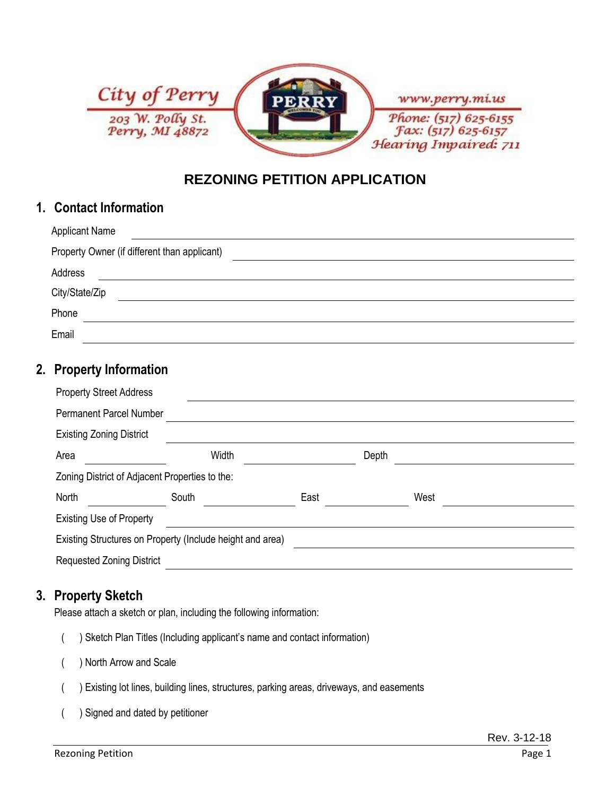

## **REZONING PETITION APPLICATION**

### **1. Contact Information**

| <b>Applicant Name</b>                        |  |  |  |  |
|----------------------------------------------|--|--|--|--|
| Property Owner (if different than applicant) |  |  |  |  |
| Address                                      |  |  |  |  |
| City/State/Zip                               |  |  |  |  |
| Phone                                        |  |  |  |  |
| Email                                        |  |  |  |  |

### **2. Property Information**

| <b>Property Street Address</b>                            |       |      |       |      |  |  |
|-----------------------------------------------------------|-------|------|-------|------|--|--|
| <b>Permanent Parcel Number</b>                            |       |      |       |      |  |  |
| <b>Existing Zoning District</b>                           |       |      |       |      |  |  |
| Area                                                      | Width |      | Depth |      |  |  |
| Zoning District of Adjacent Properties to the:            |       |      |       |      |  |  |
| North                                                     | South | East |       | West |  |  |
| <b>Existing Use of Property</b>                           |       |      |       |      |  |  |
| Existing Structures on Property (Include height and area) |       |      |       |      |  |  |
| <b>Requested Zoning District</b>                          |       |      |       |      |  |  |

#### **3. Property Sketch**

Please attach a sketch or plan, including the following information:

- ( ) Sketch Plan Titles (Including applicant's name and contact information)
- ( ) North Arrow and Scale
- ( ) Existing lot lines, building lines, structures, parking areas, driveways, and easements
- ( ) Signed and dated by petitioner